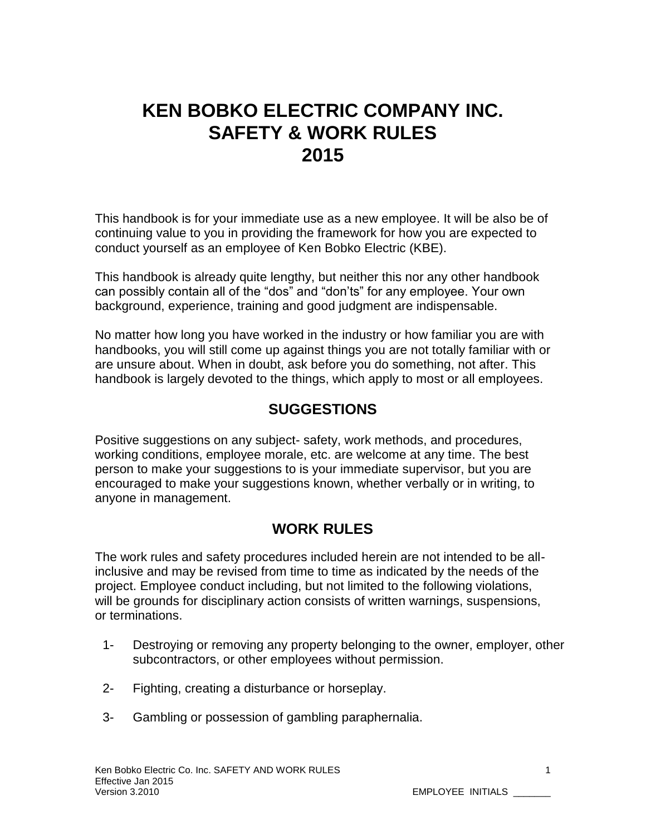# **KEN BOBKO ELECTRIC COMPANY INC. SAFETY & WORK RULES 2015**

This handbook is for your immediate use as a new employee. It will be also be of continuing value to you in providing the framework for how you are expected to conduct yourself as an employee of Ken Bobko Electric (KBE).

This handbook is already quite lengthy, but neither this nor any other handbook can possibly contain all of the "dos" and "don'ts" for any employee. Your own background, experience, training and good judgment are indispensable.

No matter how long you have worked in the industry or how familiar you are with handbooks, you will still come up against things you are not totally familiar with or are unsure about. When in doubt, ask before you do something, not after. This handbook is largely devoted to the things, which apply to most or all employees.

#### **SUGGESTIONS**

Positive suggestions on any subject- safety, work methods, and procedures, working conditions, employee morale, etc. are welcome at any time. The best person to make your suggestions to is your immediate supervisor, but you are encouraged to make your suggestions known, whether verbally or in writing, to anyone in management.

# **WORK RULES**

The work rules and safety procedures included herein are not intended to be allinclusive and may be revised from time to time as indicated by the needs of the project. Employee conduct including, but not limited to the following violations, will be grounds for disciplinary action consists of written warnings, suspensions, or terminations.

- 1- Destroying or removing any property belonging to the owner, employer, other subcontractors, or other employees without permission.
- 2- Fighting, creating a disturbance or horseplay.
- 3- Gambling or possession of gambling paraphernalia.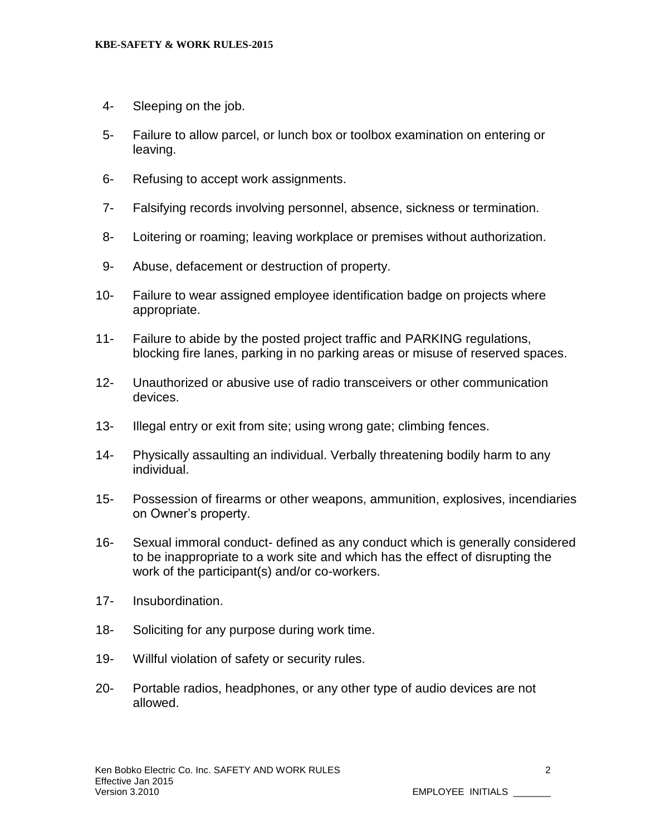- 4- Sleeping on the job.
- 5- Failure to allow parcel, or lunch box or toolbox examination on entering or leaving.
- 6- Refusing to accept work assignments.
- 7- Falsifying records involving personnel, absence, sickness or termination.
- 8- Loitering or roaming; leaving workplace or premises without authorization.
- 9- Abuse, defacement or destruction of property.
- 10- Failure to wear assigned employee identification badge on projects where appropriate.
- 11- Failure to abide by the posted project traffic and PARKING regulations, blocking fire lanes, parking in no parking areas or misuse of reserved spaces.
- 12- Unauthorized or abusive use of radio transceivers or other communication devices.
- 13- Illegal entry or exit from site; using wrong gate; climbing fences.
- 14- Physically assaulting an individual. Verbally threatening bodily harm to any individual.
- 15- Possession of firearms or other weapons, ammunition, explosives, incendiaries on Owner's property.
- 16- Sexual immoral conduct- defined as any conduct which is generally considered to be inappropriate to a work site and which has the effect of disrupting the work of the participant(s) and/or co-workers.
- 17- Insubordination.
- 18- Soliciting for any purpose during work time.
- 19- Willful violation of safety or security rules.
- 20- Portable radios, headphones, or any other type of audio devices are not allowed.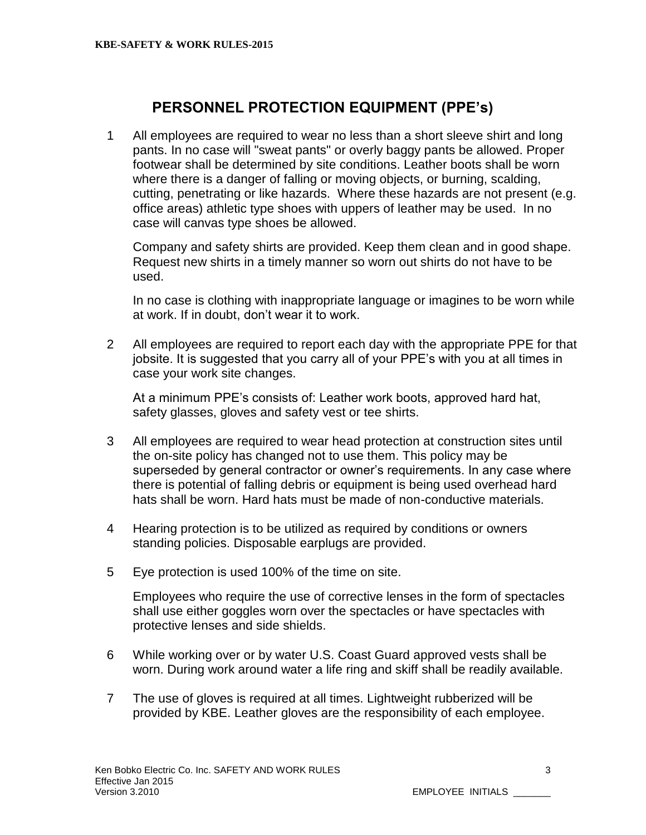#### **PERSONNEL PROTECTION EQUIPMENT (PPE's)**

1 All employees are required to wear no less than a short sleeve shirt and long pants. In no case will "sweat pants" or overly baggy pants be allowed. Proper footwear shall be determined by site conditions. Leather boots shall be worn where there is a danger of falling or moving objects, or burning, scalding, cutting, penetrating or like hazards. Where these hazards are not present (e.g. office areas) athletic type shoes with uppers of leather may be used. In no case will canvas type shoes be allowed.

Company and safety shirts are provided. Keep them clean and in good shape. Request new shirts in a timely manner so worn out shirts do not have to be used.

In no case is clothing with inappropriate language or imagines to be worn while at work. If in doubt, don't wear it to work.

2 All employees are required to report each day with the appropriate PPE for that jobsite. It is suggested that you carry all of your PPE's with you at all times in case your work site changes.

At a minimum PPE's consists of: Leather work boots, approved hard hat, safety glasses, gloves and safety vest or tee shirts.

- 3 All employees are required to wear head protection at construction sites until the on-site policy has changed not to use them. This policy may be superseded by general contractor or owner's requirements. In any case where there is potential of falling debris or equipment is being used overhead hard hats shall be worn. Hard hats must be made of non-conductive materials.
- 4 Hearing protection is to be utilized as required by conditions or owners standing policies. Disposable earplugs are provided.
- 5 Eye protection is used 100% of the time on site.

Employees who require the use of corrective lenses in the form of spectacles shall use either goggles worn over the spectacles or have spectacles with protective lenses and side shields.

- 6 While working over or by water U.S. Coast Guard approved vests shall be worn. During work around water a life ring and skiff shall be readily available.
- 7 The use of gloves is required at all times. Lightweight rubberized will be provided by KBE. Leather gloves are the responsibility of each employee.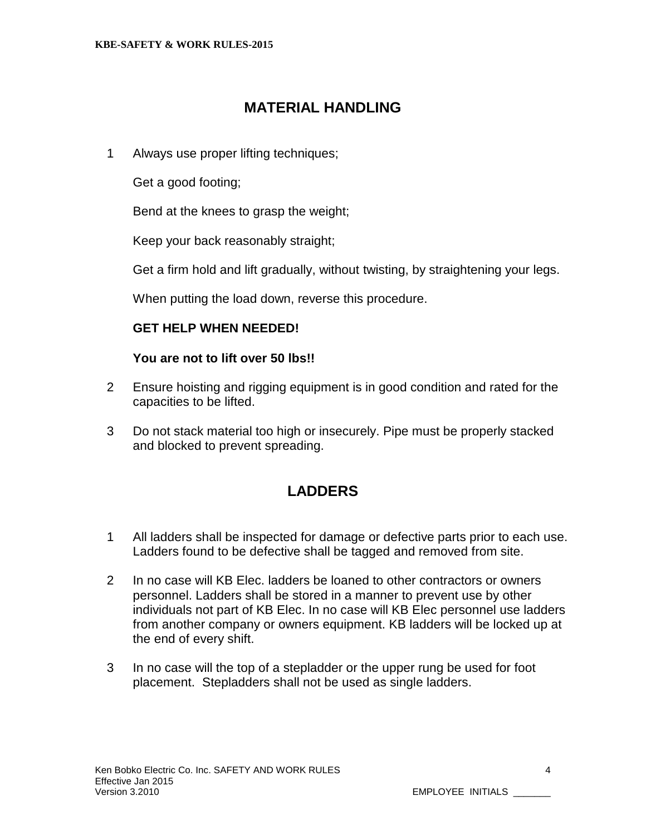#### **MATERIAL HANDLING**

1 Always use proper lifting techniques;

Get a good footing;

Bend at the knees to grasp the weight;

Keep your back reasonably straight;

Get a firm hold and lift gradually, without twisting, by straightening your legs.

When putting the load down, reverse this procedure.

#### **GET HELP WHEN NEEDED!**

#### **You are not to lift over 50 lbs!!**

- 2 Ensure hoisting and rigging equipment is in good condition and rated for the capacities to be lifted.
- 3 Do not stack material too high or insecurely. Pipe must be properly stacked and blocked to prevent spreading.

# **LADDERS**

- 1 All ladders shall be inspected for damage or defective parts prior to each use. Ladders found to be defective shall be tagged and removed from site.
- 2 In no case will KB Elec. ladders be loaned to other contractors or owners personnel. Ladders shall be stored in a manner to prevent use by other individuals not part of KB Elec. In no case will KB Elec personnel use ladders from another company or owners equipment. KB ladders will be locked up at the end of every shift.
- 3 In no case will the top of a stepladder or the upper rung be used for foot placement. Stepladders shall not be used as single ladders.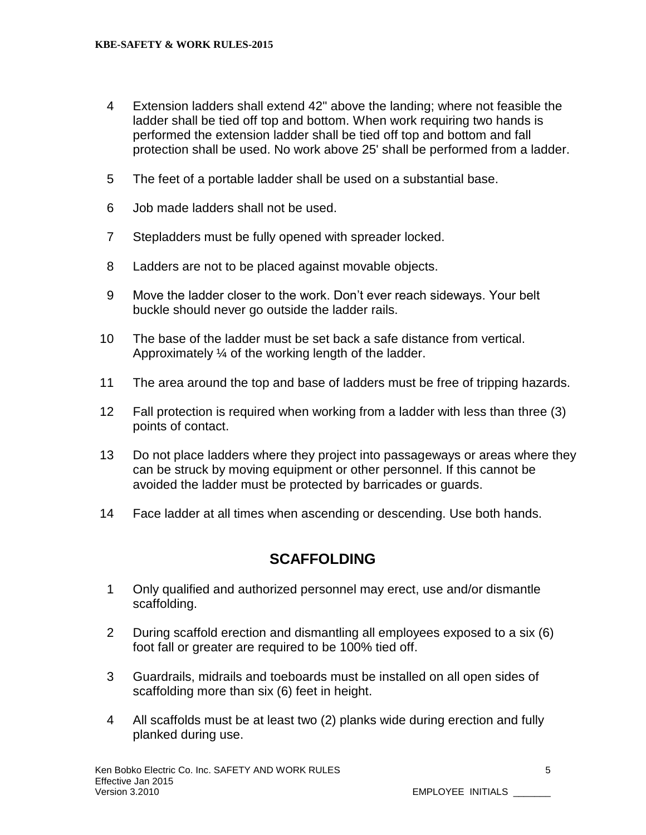- 4 Extension ladders shall extend 42" above the landing; where not feasible the ladder shall be tied off top and bottom. When work requiring two hands is performed the extension ladder shall be tied off top and bottom and fall protection shall be used. No work above 25' shall be performed from a ladder.
- 5 The feet of a portable ladder shall be used on a substantial base.
- 6 Job made ladders shall not be used.
- 7 Stepladders must be fully opened with spreader locked.
- 8 Ladders are not to be placed against movable objects.
- 9 Move the ladder closer to the work. Don't ever reach sideways. Your belt buckle should never go outside the ladder rails.
- 10 The base of the ladder must be set back a safe distance from vertical. Approximately ¼ of the working length of the ladder.
- 11 The area around the top and base of ladders must be free of tripping hazards.
- 12 Fall protection is required when working from a ladder with less than three (3) points of contact.
- 13 Do not place ladders where they project into passageways or areas where they can be struck by moving equipment or other personnel. If this cannot be avoided the ladder must be protected by barricades or guards.
- 14 Face ladder at all times when ascending or descending. Use both hands.

#### **SCAFFOLDING**

- 1 Only qualified and authorized personnel may erect, use and/or dismantle scaffolding.
- 2 During scaffold erection and dismantling all employees exposed to a six (6) foot fall or greater are required to be 100% tied off.
- 3 Guardrails, midrails and toeboards must be installed on all open sides of scaffolding more than six (6) feet in height.
- 4 All scaffolds must be at least two (2) planks wide during erection and fully planked during use.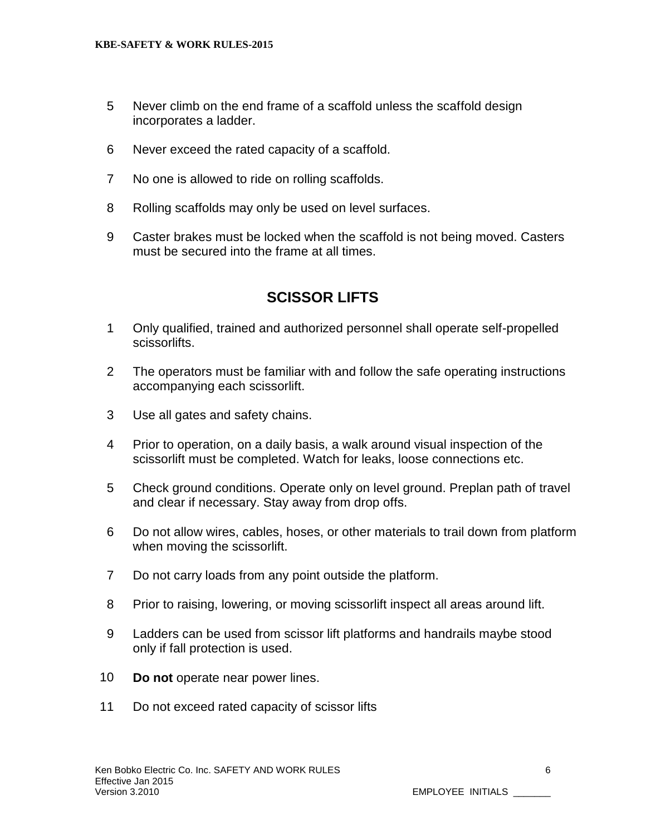- 5 Never climb on the end frame of a scaffold unless the scaffold design incorporates a ladder.
- 6 Never exceed the rated capacity of a scaffold.
- 7 No one is allowed to ride on rolling scaffolds.
- 8 Rolling scaffolds may only be used on level surfaces.
- 9 Caster brakes must be locked when the scaffold is not being moved. Casters must be secured into the frame at all times.

### **SCISSOR LIFTS**

- 1 Only qualified, trained and authorized personnel shall operate self-propelled scissorlifts.
- 2 The operators must be familiar with and follow the safe operating instructions accompanying each scissorlift.
- 3 Use all gates and safety chains.
- 4 Prior to operation, on a daily basis, a walk around visual inspection of the scissorlift must be completed. Watch for leaks, loose connections etc.
- 5 Check ground conditions. Operate only on level ground. Preplan path of travel and clear if necessary. Stay away from drop offs.
- 6 Do not allow wires, cables, hoses, or other materials to trail down from platform when moving the scissorlift.
- 7 Do not carry loads from any point outside the platform.
- 8 Prior to raising, lowering, or moving scissorlift inspect all areas around lift.
- 9 Ladders can be used from scissor lift platforms and handrails maybe stood only if fall protection is used.
- 10 **Do not** operate near power lines.
- 11 Do not exceed rated capacity of scissor lifts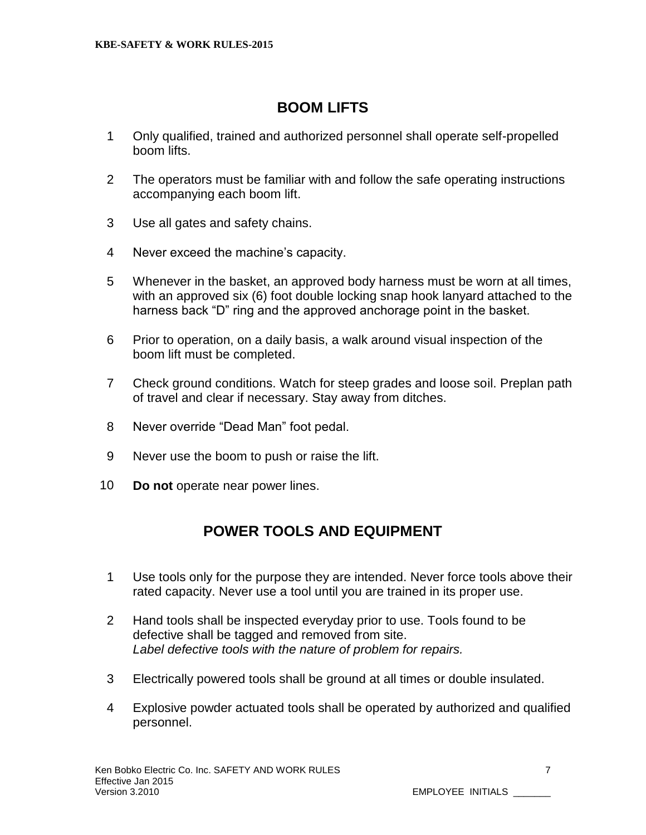## **BOOM LIFTS**

- 1 Only qualified, trained and authorized personnel shall operate self-propelled boom lifts.
- 2 The operators must be familiar with and follow the safe operating instructions accompanying each boom lift.
- 3 Use all gates and safety chains.
- 4 Never exceed the machine's capacity.
- 5 Whenever in the basket, an approved body harness must be worn at all times, with an approved six (6) foot double locking snap hook lanyard attached to the harness back "D" ring and the approved anchorage point in the basket.
- 6 Prior to operation, on a daily basis, a walk around visual inspection of the boom lift must be completed.
- 7 Check ground conditions. Watch for steep grades and loose soil. Preplan path of travel and clear if necessary. Stay away from ditches.
- 8 Never override "Dead Man" foot pedal.
- 9 Never use the boom to push or raise the lift.
- 10 **Do not** operate near power lines.

# **POWER TOOLS AND EQUIPMENT**

- 1 Use tools only for the purpose they are intended. Never force tools above their rated capacity. Never use a tool until you are trained in its proper use.
- 2 Hand tools shall be inspected everyday prior to use. Tools found to be defective shall be tagged and removed from site. *Label defective tools with the nature of problem for repairs.*
- 3 Electrically powered tools shall be ground at all times or double insulated.
- 4 Explosive powder actuated tools shall be operated by authorized and qualified personnel.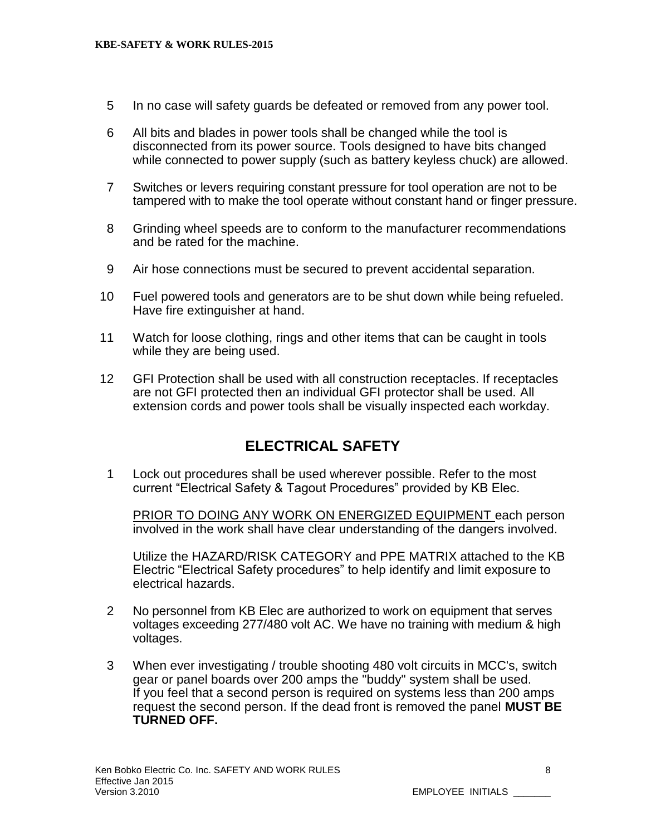- 5 In no case will safety guards be defeated or removed from any power tool.
- 6 All bits and blades in power tools shall be changed while the tool is disconnected from its power source. Tools designed to have bits changed while connected to power supply (such as battery keyless chuck) are allowed.
- 7 Switches or levers requiring constant pressure for tool operation are not to be tampered with to make the tool operate without constant hand or finger pressure.
- 8 Grinding wheel speeds are to conform to the manufacturer recommendations and be rated for the machine.
- 9 Air hose connections must be secured to prevent accidental separation.
- 10 Fuel powered tools and generators are to be shut down while being refueled. Have fire extinguisher at hand.
- 11 Watch for loose clothing, rings and other items that can be caught in tools while they are being used.
- 12 GFI Protection shall be used with all construction receptacles. If receptacles are not GFI protected then an individual GFI protector shall be used. All extension cords and power tools shall be visually inspected each workday.

# **ELECTRICAL SAFETY**

1 Lock out procedures shall be used wherever possible. Refer to the most current "Electrical Safety & Tagout Procedures" provided by KB Elec.

PRIOR TO DOING ANY WORK ON ENERGIZED EQUIPMENT each person involved in the work shall have clear understanding of the dangers involved.

Utilize the HAZARD/RISK CATEGORY and PPE MATRIX attached to the KB Electric "Electrical Safety procedures" to help identify and limit exposure to electrical hazards.

- 2 No personnel from KB Elec are authorized to work on equipment that serves voltages exceeding 277/480 volt AC. We have no training with medium & high voltages.
- 3 When ever investigating / trouble shooting 480 volt circuits in MCC's, switch gear or panel boards over 200 amps the "buddy" system shall be used. If you feel that a second person is required on systems less than 200 amps request the second person. If the dead front is removed the panel **MUST BE TURNED OFF.**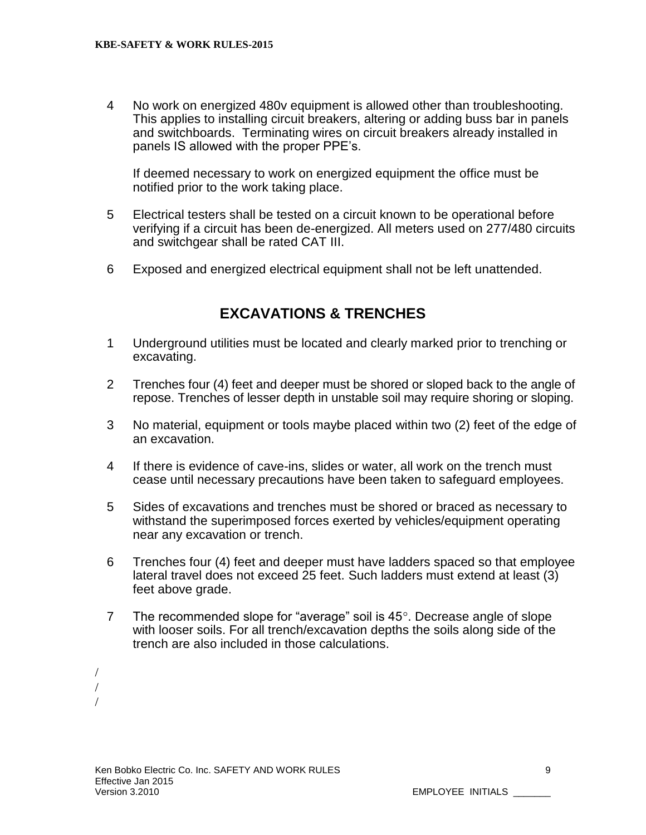4 No work on energized 480v equipment is allowed other than troubleshooting. This applies to installing circuit breakers, altering or adding buss bar in panels and switchboards. Terminating wires on circuit breakers already installed in panels IS allowed with the proper PPE's.

If deemed necessary to work on energized equipment the office must be notified prior to the work taking place.

- 5 Electrical testers shall be tested on a circuit known to be operational before verifying if a circuit has been de-energized. All meters used on 277/480 circuits and switchgear shall be rated CAT III.
- 6 Exposed and energized electrical equipment shall not be left unattended.

### **EXCAVATIONS & TRENCHES**

- 1 Underground utilities must be located and clearly marked prior to trenching or excavating.
- 2 Trenches four (4) feet and deeper must be shored or sloped back to the angle of repose. Trenches of lesser depth in unstable soil may require shoring or sloping.
- 3 No material, equipment or tools maybe placed within two (2) feet of the edge of an excavation.
- 4 If there is evidence of cave-ins, slides or water, all work on the trench must cease until necessary precautions have been taken to safeguard employees.
- 5 Sides of excavations and trenches must be shored or braced as necessary to withstand the superimposed forces exerted by vehicles/equipment operating near any excavation or trench.
- 6 Trenches four (4) feet and deeper must have ladders spaced so that employee lateral travel does not exceed 25 feet. Such ladders must extend at least (3) feet above grade.
- 7 The recommended slope for "average" soil is 45°. Decrease angle of slope with looser soils. For all trench/excavation depths the soils along side of the trench are also included in those calculations.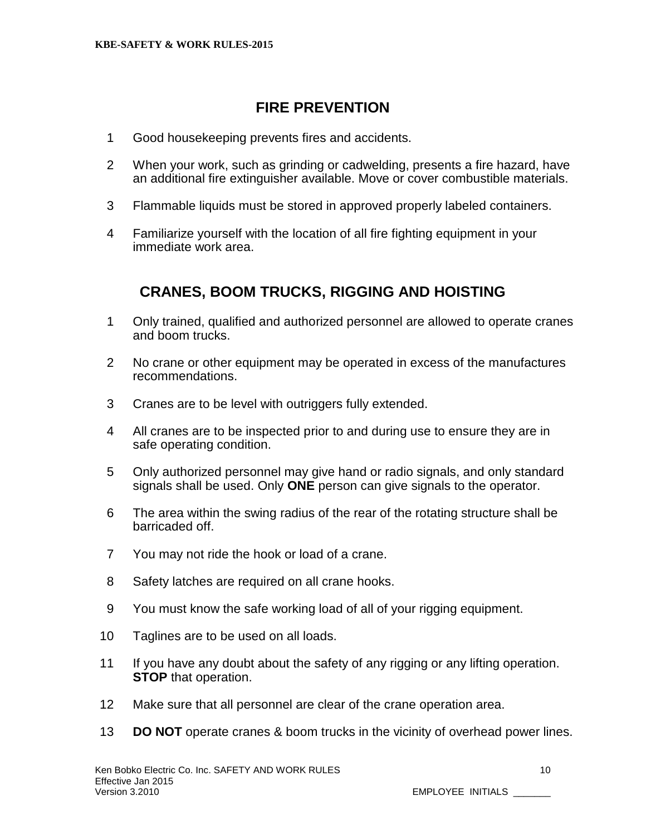### **FIRE PREVENTION**

- 1 Good housekeeping prevents fires and accidents.
- 2 When your work, such as grinding or cadwelding, presents a fire hazard, have an additional fire extinguisher available. Move or cover combustible materials.
- 3 Flammable liquids must be stored in approved properly labeled containers.
- 4 Familiarize yourself with the location of all fire fighting equipment in your immediate work area.

# **CRANES, BOOM TRUCKS, RIGGING AND HOISTING**

- 1 Only trained, qualified and authorized personnel are allowed to operate cranes and boom trucks.
- 2 No crane or other equipment may be operated in excess of the manufactures recommendations.
- 3 Cranes are to be level with outriggers fully extended.
- 4 All cranes are to be inspected prior to and during use to ensure they are in safe operating condition.
- 5 Only authorized personnel may give hand or radio signals, and only standard signals shall be used. Only **ONE** person can give signals to the operator.
- 6 The area within the swing radius of the rear of the rotating structure shall be barricaded off.
- 7 You may not ride the hook or load of a crane.
- 8 Safety latches are required on all crane hooks.
- 9 You must know the safe working load of all of your rigging equipment.
- 10 Taglines are to be used on all loads.
- 11 If you have any doubt about the safety of any rigging or any lifting operation. **STOP** that operation.
- 12 Make sure that all personnel are clear of the crane operation area.
- 13 **DO NOT** operate cranes & boom trucks in the vicinity of overhead power lines.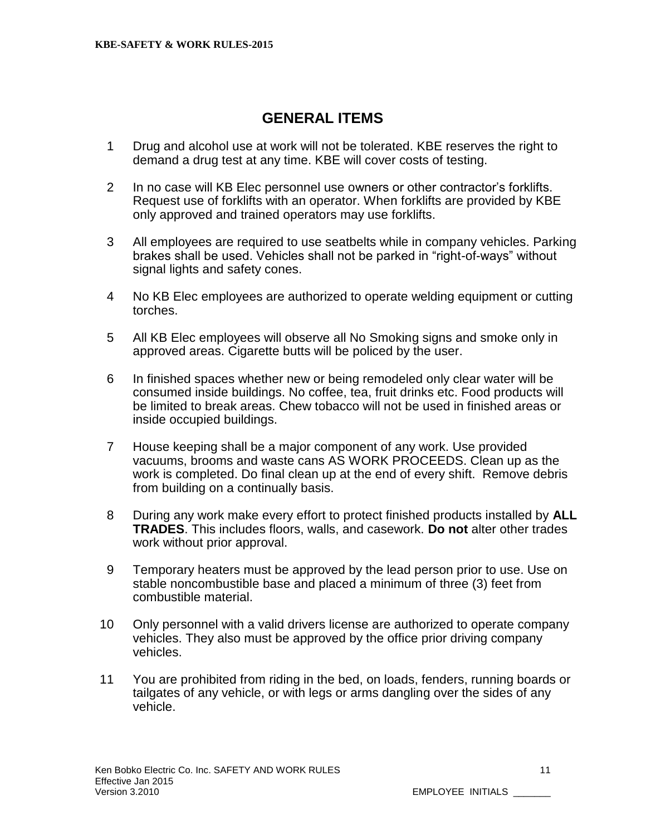# **GENERAL ITEMS**

- 1 Drug and alcohol use at work will not be tolerated. KBE reserves the right to demand a drug test at any time. KBE will cover costs of testing.
- 2 In no case will KB Elec personnel use owners or other contractor's forklifts. Request use of forklifts with an operator. When forklifts are provided by KBE only approved and trained operators may use forklifts.
- 3 All employees are required to use seatbelts while in company vehicles. Parking brakes shall be used. Vehicles shall not be parked in "right-of-ways" without signal lights and safety cones.
- 4 No KB Elec employees are authorized to operate welding equipment or cutting torches.
- 5 All KB Elec employees will observe all No Smoking signs and smoke only in approved areas. Cigarette butts will be policed by the user.
- 6 In finished spaces whether new or being remodeled only clear water will be consumed inside buildings. No coffee, tea, fruit drinks etc. Food products will be limited to break areas. Chew tobacco will not be used in finished areas or inside occupied buildings.
- 7 House keeping shall be a major component of any work. Use provided vacuums, brooms and waste cans AS WORK PROCEEDS. Clean up as the work is completed. Do final clean up at the end of every shift. Remove debris from building on a continually basis.
- 8 During any work make every effort to protect finished products installed by **ALL TRADES**. This includes floors, walls, and casework. **Do not** alter other trades work without prior approval.
- 9 Temporary heaters must be approved by the lead person prior to use. Use on stable noncombustible base and placed a minimum of three (3) feet from combustible material.
- 10 Only personnel with a valid drivers license are authorized to operate company vehicles. They also must be approved by the office prior driving company vehicles.
- 11 You are prohibited from riding in the bed, on loads, fenders, running boards or tailgates of any vehicle, or with legs or arms dangling over the sides of any vehicle.